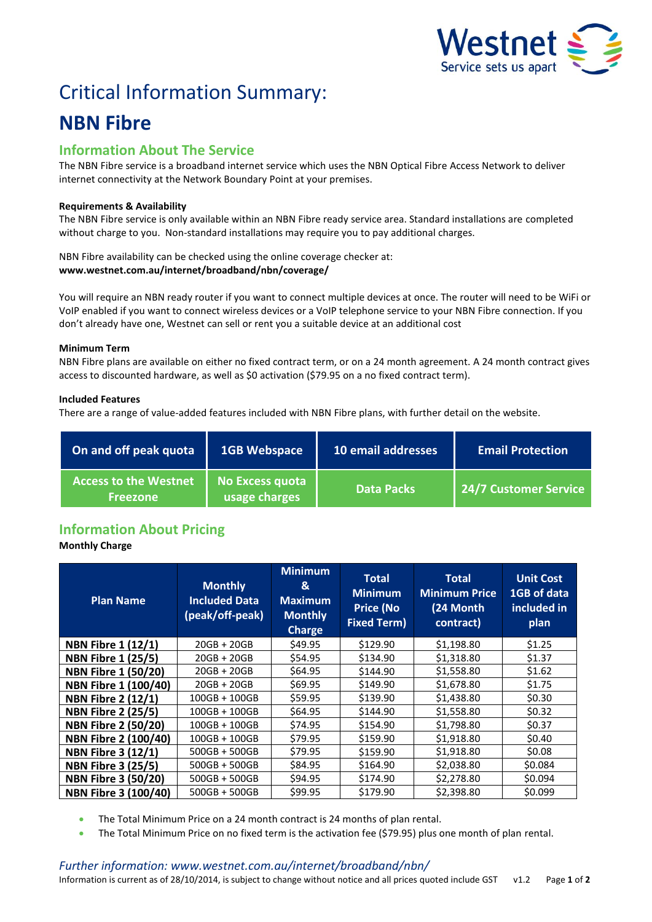

# Critical Information Summary: **NBN Fibre**

# **Information About The Service**

The NBN Fibre service is a broadband internet service which uses the NBN Optical Fibre Access Network to deliver internet connectivity at the Network Boundary Point at your premises.

# **Requirements & Availability**

The NBN Fibre service is only available within an NBN Fibre ready service area. Standard installations are completed without charge to you. Non-standard installations may require you to pay additional charges.

NBN Fibre availability can be checked using the online coverage checker at: **www.westnet.com.au/internet/broadband/nbn/coverage/**

You will require an NBN ready router if you want to connect multiple devices at once. The router will need to be WiFi or VoIP enabled if you want to connect wireless devices or a VoIP telephone service to your NBN Fibre connection. If you don't already have one, Westnet can sell or rent you a suitable device at an additional cost

# **Minimum Term**

NBN Fibre plans are available on either no fixed contract term, or on a 24 month agreement. A 24 month contract gives access to discounted hardware, as well as \$0 activation (\$79.95 on a no fixed contract term).

# **Included Features**

There are a range of value-added features included with NBN Fibre plans, with further detail on the website.

| On and off peak quota                           | <b>1GB Webspace</b>              | 10 email addresses | <b>Email Protection</b> |
|-------------------------------------------------|----------------------------------|--------------------|-------------------------|
| <b>Access to the Westnet</b><br><b>Freezone</b> | No Excess quota<br>usage charges | <b>Data Packs</b>  | 24/7 Customer Service   |

# **Information About Pricing**

# **Monthly Charge**

| <b>Plan Name</b>            | <b>Monthly</b><br><b>Included Data</b><br>(peak/off-peak) | <b>Minimum</b><br>&<br><b>Maximum</b><br><b>Monthly</b><br><b>Charge</b> | <b>Total</b><br><b>Minimum</b><br><b>Price (No</b><br><b>Fixed Term)</b> | Total<br><b>Minimum Price</b><br>(24 Month<br>contract) | <b>Unit Cost</b><br>1GB of data<br>included in<br>plan |
|-----------------------------|-----------------------------------------------------------|--------------------------------------------------------------------------|--------------------------------------------------------------------------|---------------------------------------------------------|--------------------------------------------------------|
| <b>NBN Fibre 1 (12/1)</b>   | $20GB + 20GB$                                             | \$49.95                                                                  | \$129.90                                                                 | \$1.198.80                                              | \$1.25                                                 |
| <b>NBN Fibre 1 (25/5)</b>   | $20GB + 20GB$                                             | \$54.95                                                                  | \$134.90                                                                 | \$1,318.80                                              | \$1.37                                                 |
| <b>NBN Fibre 1 (50/20)</b>  | $20GB + 20GB$                                             | \$64.95                                                                  | \$144.90                                                                 | \$1,558.80                                              | \$1.62                                                 |
| NBN Fibre 1 (100/40)        | $20GB + 20GB$                                             | \$69.95                                                                  | \$149.90                                                                 | \$1,678.80                                              | \$1.75                                                 |
| <b>NBN Fibre 2 (12/1)</b>   | $100GB + 100GB$                                           | \$59.95                                                                  | \$139.90                                                                 | \$1,438.80                                              | \$0.30                                                 |
| <b>NBN Fibre 2 (25/5)</b>   | $100GB + 100GB$                                           | \$64.95                                                                  | \$144.90                                                                 | \$1,558.80                                              | \$0.32                                                 |
| <b>NBN Fibre 2 (50/20)</b>  | $100GB + 100GB$                                           | \$74.95                                                                  | \$154.90                                                                 | \$1,798.80                                              | \$0.37                                                 |
| <b>NBN Fibre 2 (100/40)</b> | $100GB + 100GB$                                           | \$79.95                                                                  | \$159.90                                                                 | \$1,918.80                                              | \$0.40                                                 |
| <b>NBN Fibre 3 (12/1)</b>   | $500GB + 500GB$                                           | \$79.95                                                                  | \$159.90                                                                 | \$1,918.80                                              | \$0.08                                                 |
| <b>NBN Fibre 3 (25/5)</b>   | $500GB + 500GB$                                           | \$84.95                                                                  | \$164.90                                                                 | \$2,038.80                                              | \$0.084                                                |
| <b>NBN Fibre 3 (50/20)</b>  | $500GB + 500GB$                                           | \$94.95                                                                  | \$174.90                                                                 | \$2,278.80                                              | \$0.094                                                |
| <b>NBN Fibre 3 (100/40)</b> | $500GB + 500GB$                                           | \$99.95                                                                  | \$179.90                                                                 | \$2,398.80                                              | \$0.099                                                |

- The Total Minimum Price on a 24 month contract is 24 months of plan rental.
- The Total Minimum Price on no fixed term is the activation fee (\$79.95) plus one month of plan rental.